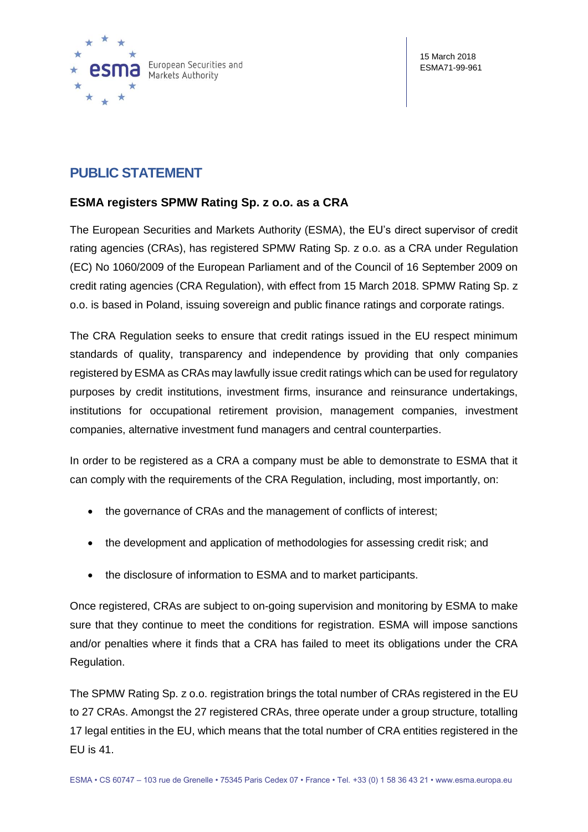

## **PUBLIC STATEMENT**

## **ESMA registers SPMW Rating Sp. z o.o. as a CRA**

The European Securities and Markets Authority (ESMA), the EU's direct supervisor of credit rating agencies (CRAs), has registered SPMW Rating Sp. z o.o. as a CRA under Regulation (EC) No 1060/2009 of the European Parliament and of the Council of 16 September 2009 on credit rating agencies (CRA Regulation), with effect from 15 March 2018. SPMW Rating Sp. z o.o. is based in Poland, issuing sovereign and public finance ratings and corporate ratings.

The CRA Regulation seeks to ensure that credit ratings issued in the EU respect minimum standards of quality, transparency and independence by providing that only companies registered by ESMA as CRAs may lawfully issue credit ratings which can be used for regulatory purposes by credit institutions, investment firms, insurance and reinsurance undertakings, institutions for occupational retirement provision, management companies, investment companies, alternative investment fund managers and central counterparties.

In order to be registered as a CRA a company must be able to demonstrate to ESMA that it can comply with the requirements of the CRA Regulation, including, most importantly, on:

- the governance of CRAs and the management of conflicts of interest;
- the development and application of methodologies for assessing credit risk; and
- the disclosure of information to ESMA and to market participants.

Once registered, CRAs are subject to on-going supervision and monitoring by ESMA to make sure that they continue to meet the conditions for registration. ESMA will impose sanctions and/or penalties where it finds that a CRA has failed to meet its obligations under the CRA Regulation.

The SPMW Rating Sp. z o.o. registration brings the total number of CRAs registered in the EU to 27 CRAs. Amongst the 27 registered CRAs, three operate under a group structure, totalling 17 legal entities in the EU, which means that the total number of CRA entities registered in the EU is 41.